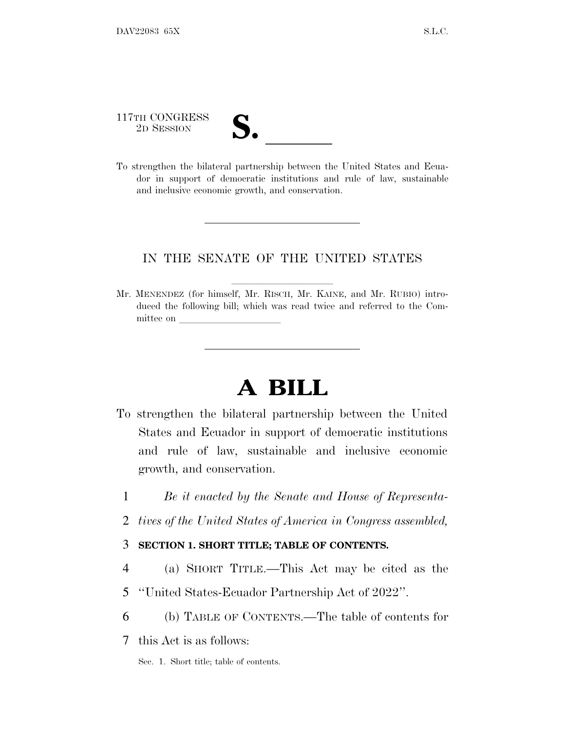117TH CONGRESS 117TH CONGRESS<br>
2D SESSION<br>
To strengthen the bilateral partnership between the United States and Ecua-

dor in support of democratic institutions and rule of law, sustainable and inclusive economic growth, and conservation.

# IN THE SENATE OF THE UNITED STATES

Mr. MENENDEZ (for himself, Mr. RISCH, Mr. KAINE, and Mr. RUBIO) introduced the following bill; which was read twice and referred to the Committee on

# **A BILL**

- To strengthen the bilateral partnership between the United States and Ecuador in support of democratic institutions and rule of law, sustainable and inclusive economic growth, and conservation.
	- 1 *Be it enacted by the Senate and House of Representa-*
	- 2 *tives of the United States of America in Congress assembled,*

## 3 **SECTION 1. SHORT TITLE; TABLE OF CONTENTS.**

- 4 (a) SHORT TITLE.—This Act may be cited as the
- 5 ''United States-Ecuador Partnership Act of 2022''.
- 6 (b) TABLE OF CONTENTS.—The table of contents for
- 7 this Act is as follows:
	- Sec. 1. Short title; table of contents.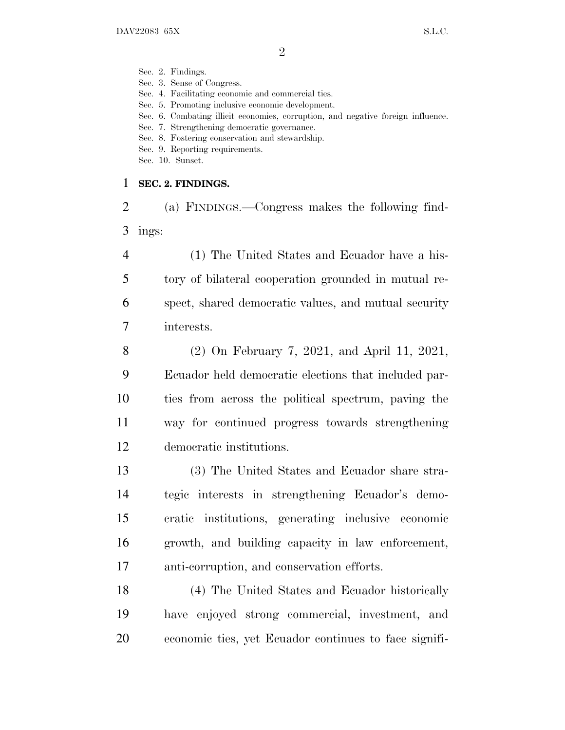Sec. 2. Findings.

Sec. 3. Sense of Congress.

Sec. 4. Facilitating economic and commercial ties.

Sec. 5. Promoting inclusive economic development.

Sec. 6. Combating illicit economies, corruption, and negative foreign influence.

Sec. 7. Strengthening democratic governance.

Sec. 8. Fostering conservation and stewardship.

Sec. 9. Reporting requirements.

Sec. 10. Sunset.

#### **SEC. 2. FINDINGS.**

 (a) FINDINGS.—Congress makes the following find-ings:

 (1) The United States and Ecuador have a his- tory of bilateral cooperation grounded in mutual re- spect, shared democratic values, and mutual security interests.

 (2) On February 7, 2021, and April 11, 2021, Ecuador held democratic elections that included par- ties from across the political spectrum, paving the way for continued progress towards strengthening democratic institutions.

 (3) The United States and Ecuador share stra- tegic interests in strengthening Ecuador's demo- cratic institutions, generating inclusive economic growth, and building capacity in law enforcement, anti-corruption, and conservation efforts.

 (4) The United States and Ecuador historically have enjoyed strong commercial, investment, and economic ties, yet Ecuador continues to face signifi-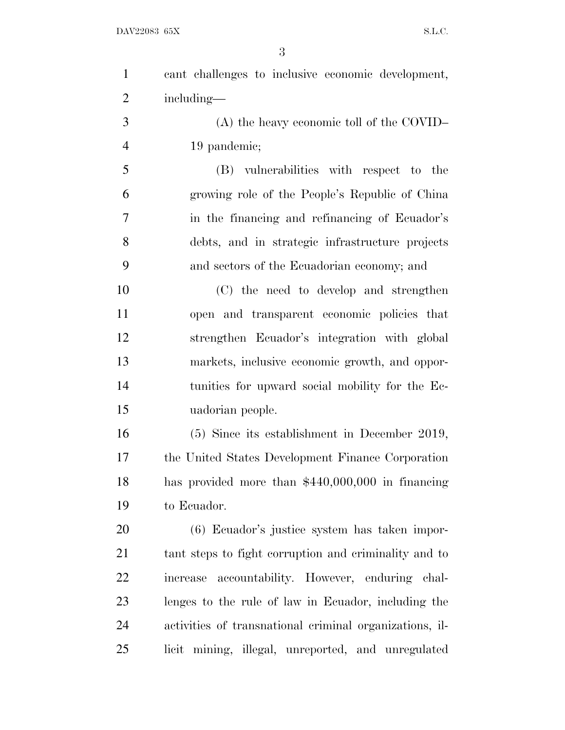| $\mathbf{1}$   | cant challenges to inclusive economic development,      |
|----------------|---------------------------------------------------------|
| $\overline{2}$ | including—                                              |
| 3              | $(A)$ the heavy economic toll of the COVID-             |
| $\overline{4}$ | 19 pandemic;                                            |
| 5              | (B) vulnerabilities with respect to the                 |
| 6              | growing role of the People's Republic of China          |
| 7              | in the financing and refinancing of Ecuador's           |
| 8              | debts, and in strategic infrastructure projects         |
| 9              | and sectors of the Ecuadorian economy; and              |
| 10             | (C) the need to develop and strengthen                  |
| 11             | open and transparent economic policies that             |
| 12             | strengthen Ecuador's integration with global            |
| 13             | markets, inclusive economic growth, and oppor-          |
| 14             | tunities for upward social mobility for the Ec-         |
| 15             | uadorian people.                                        |
| 16             | $(5)$ Since its establishment in December 2019,         |
| 17             | the United States Development Finance Corporation       |
| 18             | has provided more than $$440,000,000$ in financing      |
| 19             | to Ecuador.                                             |
| 20             | (6) Ecuador's justice system has taken impor-           |
| 21             | tant steps to fight corruption and criminality and to   |
| 22             | increase accountability. However, enduring chal-        |
| 23             | lenges to the rule of law in Ecuador, including the     |
| 24             | activities of transnational criminal organizations, il- |
| 25             | licit mining, illegal, unreported, and unregulated      |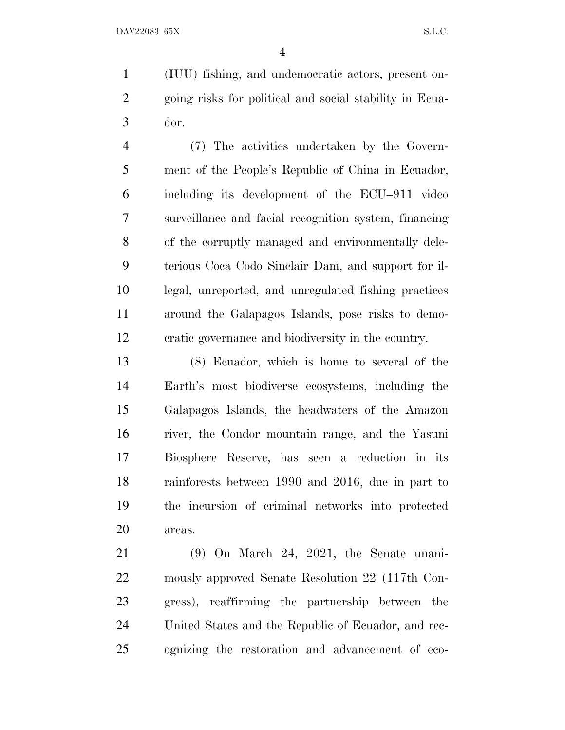(IUU) fishing, and undemocratic actors, present on- going risks for political and social stability in Ecua-dor.

 (7) The activities undertaken by the Govern- ment of the People's Republic of China in Ecuador, including its development of the ECU–911 video surveillance and facial recognition system, financing of the corruptly managed and environmentally dele- terious Coca Codo Sinclair Dam, and support for il- legal, unreported, and unregulated fishing practices around the Galapagos Islands, pose risks to demo-cratic governance and biodiversity in the country.

 (8) Ecuador, which is home to several of the Earth's most biodiverse ecosystems, including the Galapagos Islands, the headwaters of the Amazon river, the Condor mountain range, and the Yasuni Biosphere Reserve, has seen a reduction in its rainforests between 1990 and 2016, due in part to the incursion of criminal networks into protected areas.

 (9) On March 24, 2021, the Senate unani- mously approved Senate Resolution 22 (117th Con- gress), reaffirming the partnership between the United States and the Republic of Ecuador, and rec-ognizing the restoration and advancement of eco-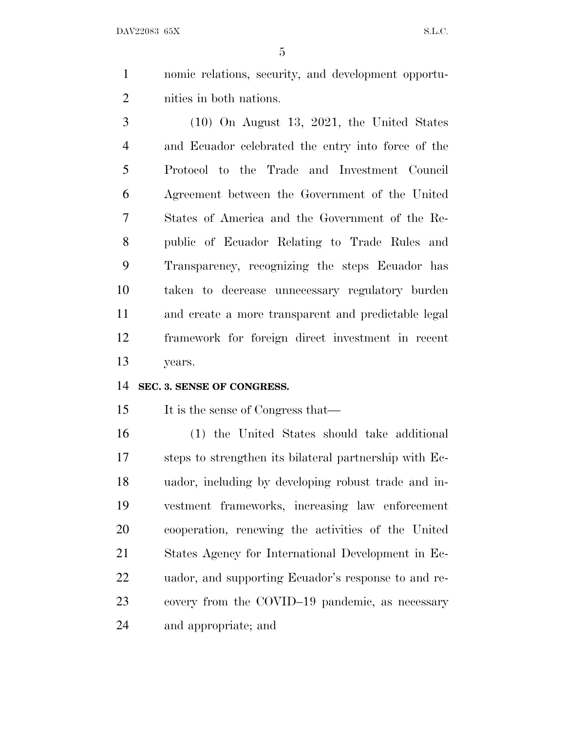nomic relations, security, and development opportu-nities in both nations.

 (10) On August 13, 2021, the United States and Ecuador celebrated the entry into force of the Protocol to the Trade and Investment Council Agreement between the Government of the United States of America and the Government of the Re- public of Ecuador Relating to Trade Rules and Transparency, recognizing the steps Ecuador has taken to decrease unnecessary regulatory burden and create a more transparent and predictable legal framework for foreign direct investment in recent years.

### **SEC. 3. SENSE OF CONGRESS.**

15 It is the sense of Congress that—

 (1) the United States should take additional steps to strengthen its bilateral partnership with Ec- uador, including by developing robust trade and in- vestment frameworks, increasing law enforcement cooperation, renewing the activities of the United States Agency for International Development in Ec- uador, and supporting Ecuador's response to and re- covery from the COVID–19 pandemic, as necessary and appropriate; and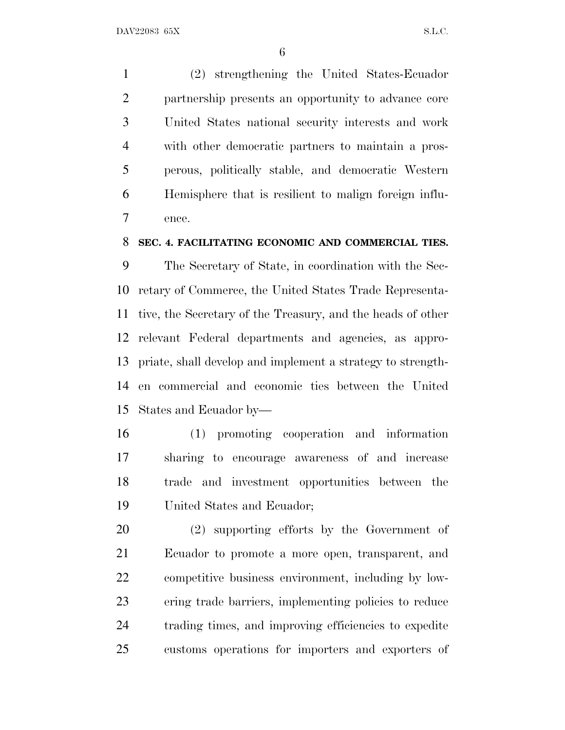(2) strengthening the United States-Ecuador partnership presents an opportunity to advance core United States national security interests and work with other democratic partners to maintain a pros- perous, politically stable, and democratic Western Hemisphere that is resilient to malign foreign influ-ence.

#### **SEC. 4. FACILITATING ECONOMIC AND COMMERCIAL TIES.**

 The Secretary of State, in coordination with the Sec- retary of Commerce, the United States Trade Representa- tive, the Secretary of the Treasury, and the heads of other relevant Federal departments and agencies, as appro- priate, shall develop and implement a strategy to strength- en commercial and economic ties between the United States and Ecuador by—

 (1) promoting cooperation and information sharing to encourage awareness of and increase trade and investment opportunities between the United States and Ecuador;

 (2) supporting efforts by the Government of Ecuador to promote a more open, transparent, and competitive business environment, including by low- ering trade barriers, implementing policies to reduce trading times, and improving efficiencies to expedite customs operations for importers and exporters of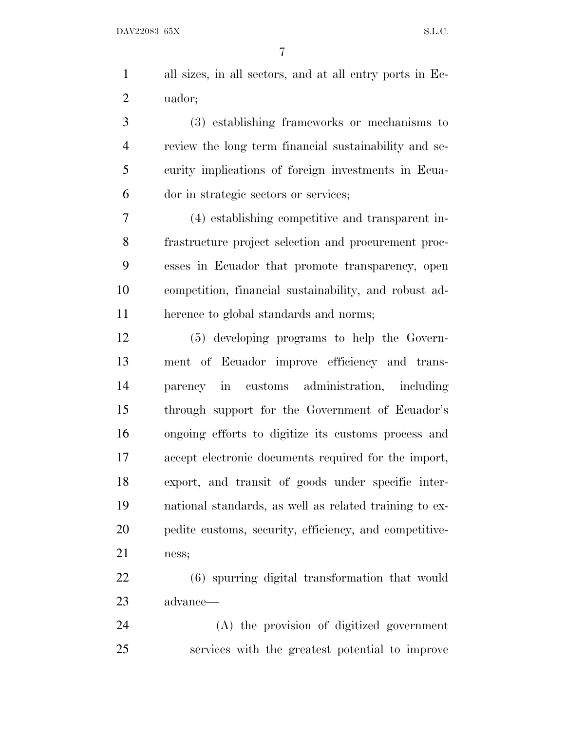all sizes, in all sectors, and at all entry ports in Ec-uador;

 (3) establishing frameworks or mechanisms to review the long term financial sustainability and se- curity implications of foreign investments in Ecua-dor in strategic sectors or services;

 (4) establishing competitive and transparent in- frastructure project selection and procurement proc- esses in Ecuador that promote transparency, open competition, financial sustainability, and robust ad-herence to global standards and norms;

 (5) developing programs to help the Govern- ment of Ecuador improve efficiency and trans- parency in customs administration, including through support for the Government of Ecuador's ongoing efforts to digitize its customs process and accept electronic documents required for the import, export, and transit of goods under specific inter- national standards, as well as related training to ex- pedite customs, security, efficiency, and competitive-ness;

 (6) spurring digital transformation that would advance—

 (A) the provision of digitized government services with the greatest potential to improve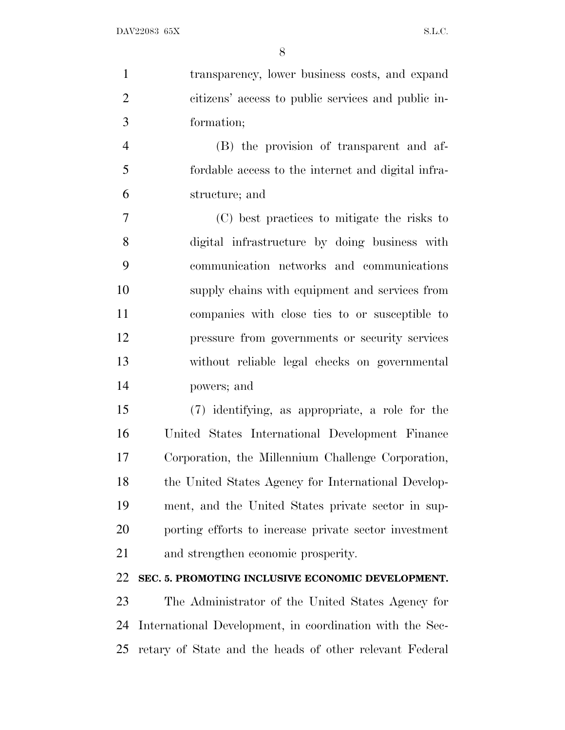transparency, lower business costs, and expand citizens' access to public services and public in-formation;

 (B) the provision of transparent and af- fordable access to the internet and digital infra-structure; and

 (C) best practices to mitigate the risks to digital infrastructure by doing business with communication networks and communications supply chains with equipment and services from companies with close ties to or susceptible to pressure from governments or security services without reliable legal checks on governmental powers; and

 (7) identifying, as appropriate, a role for the United States International Development Finance Corporation, the Millennium Challenge Corporation, 18 the United States Agency for International Develop- ment, and the United States private sector in sup- porting efforts to increase private sector investment and strengthen economic prosperity.

## **SEC. 5. PROMOTING INCLUSIVE ECONOMIC DEVELOPMENT.**

 The Administrator of the United States Agency for International Development, in coordination with the Sec-retary of State and the heads of other relevant Federal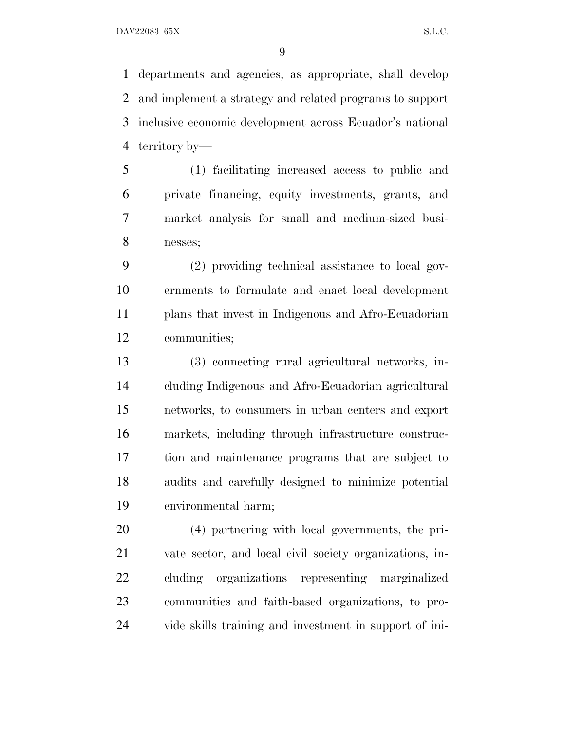departments and agencies, as appropriate, shall develop and implement a strategy and related programs to support inclusive economic development across Ecuador's national territory by—

 (1) facilitating increased access to public and private financing, equity investments, grants, and market analysis for small and medium-sized busi-nesses;

 (2) providing technical assistance to local gov- ernments to formulate and enact local development plans that invest in Indigenous and Afro-Ecuadorian communities;

 (3) connecting rural agricultural networks, in- cluding Indigenous and Afro-Ecuadorian agricultural networks, to consumers in urban centers and export markets, including through infrastructure construc- tion and maintenance programs that are subject to audits and carefully designed to minimize potential environmental harm;

 (4) partnering with local governments, the pri- vate sector, and local civil society organizations, in- cluding organizations representing marginalized communities and faith-based organizations, to pro-vide skills training and investment in support of ini-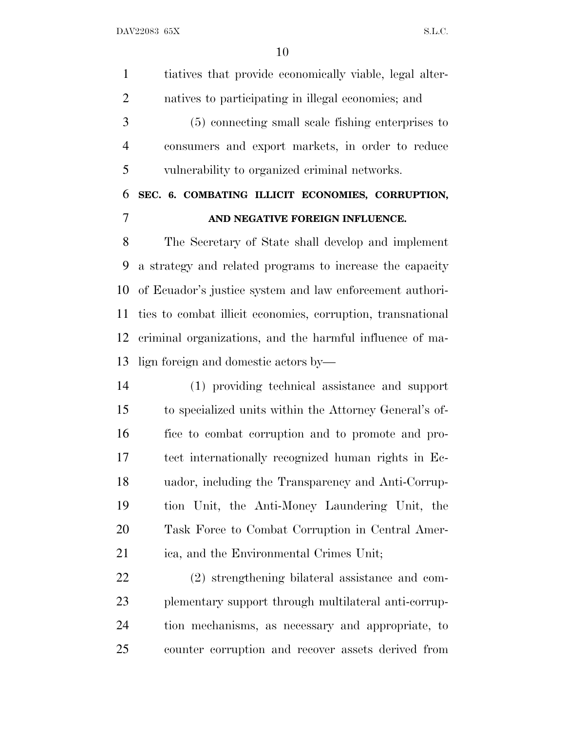tiatives that provide economically viable, legal alter- natives to participating in illegal economies; and (5) connecting small scale fishing enterprises to consumers and export markets, in order to reduce vulnerability to organized criminal networks. **SEC. 6. COMBATING ILLICIT ECONOMIES, CORRUPTION, AND NEGATIVE FOREIGN INFLUENCE.** The Secretary of State shall develop and implement a strategy and related programs to increase the capacity of Ecuador's justice system and law enforcement authori-

 ties to combat illicit economies, corruption, transnational criminal organizations, and the harmful influence of ma-lign foreign and domestic actors by—

 (1) providing technical assistance and support to specialized units within the Attorney General's of- fice to combat corruption and to promote and pro- tect internationally recognized human rights in Ec- uador, including the Transparency and Anti-Corrup- tion Unit, the Anti-Money Laundering Unit, the Task Force to Combat Corruption in Central Amer-ica, and the Environmental Crimes Unit;

 (2) strengthening bilateral assistance and com- plementary support through multilateral anti-corrup- tion mechanisms, as necessary and appropriate, to counter corruption and recover assets derived from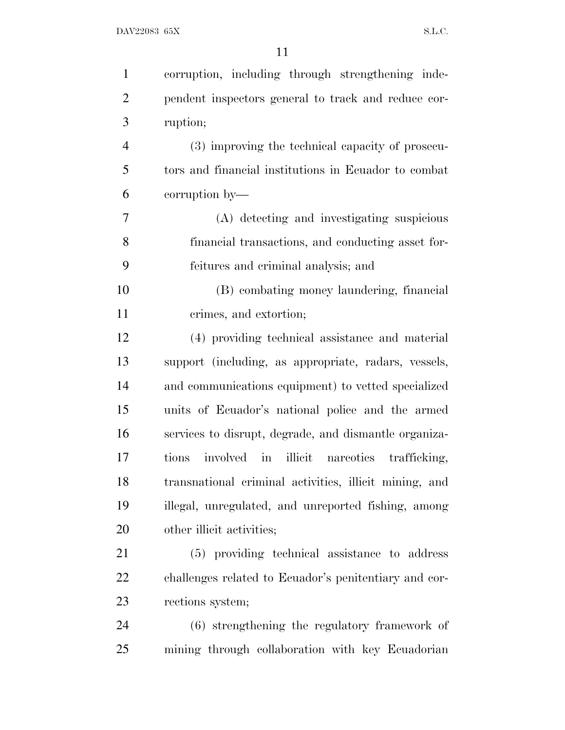| $\mathbf{1}$   | corruption, including through strengthening inde-      |
|----------------|--------------------------------------------------------|
| $\overline{2}$ | pendent inspectors general to track and reduce cor-    |
| 3              | ruption;                                               |
| $\overline{4}$ | (3) improving the technical capacity of prosecu-       |
| 5              | tors and financial institutions in Ecuador to combat   |
| 6              | corruption by—                                         |
| 7              | (A) detecting and investigating suspicious             |
| 8              | financial transactions, and conducting asset for-      |
| 9              | feitures and criminal analysis; and                    |
| 10             | (B) combating money laundering, financial              |
| 11             | crimes, and extortion;                                 |
| 12             | (4) providing technical assistance and material        |
| 13             | support (including, as appropriate, radars, vessels,   |
| 14             | and communications equipment) to vetted specialized    |
| 15             | units of Ecuador's national police and the armed       |
| 16             | services to disrupt, degrade, and dismantle organiza-  |
| 17             | involved in illicit nareotics trafficking,<br>tions    |
| 18             | transnational criminal activities, illicit mining, and |
| 19             | illegal, unregulated, and unreported fishing, among    |
| 20             | other illicit activities;                              |
| 21             | (5) providing technical assistance to address          |
| 22             | challenges related to Ecuador's penitentiary and cor-  |
| 23             | rections system;                                       |
| 24             | (6) strengthening the regulatory framework of          |
| 25             | mining through collaboration with key Ecuadorian       |
|                |                                                        |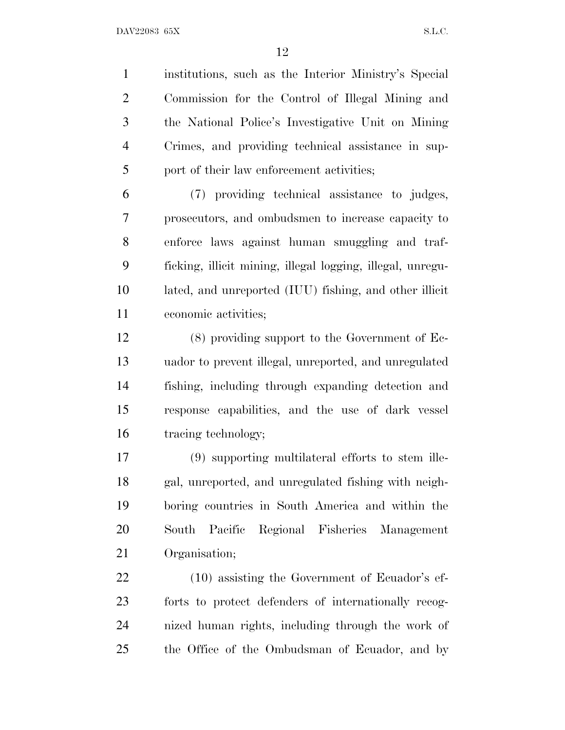institutions, such as the Interior Ministry's Special Commission for the Control of Illegal Mining and the National Police's Investigative Unit on Mining Crimes, and providing technical assistance in sup-port of their law enforcement activities;

 (7) providing technical assistance to judges, prosecutors, and ombudsmen to increase capacity to enforce laws against human smuggling and traf- ficking, illicit mining, illegal logging, illegal, unregu- lated, and unreported (IUU) fishing, and other illicit economic activities;

 (8) providing support to the Government of Ec- uador to prevent illegal, unreported, and unregulated fishing, including through expanding detection and response capabilities, and the use of dark vessel tracing technology;

 (9) supporting multilateral efforts to stem ille- gal, unreported, and unregulated fishing with neigh- boring countries in South America and within the South Pacific Regional Fisheries Management Organisation;

 (10) assisting the Government of Ecuador's ef- forts to protect defenders of internationally recog- nized human rights, including through the work of the Office of the Ombudsman of Ecuador, and by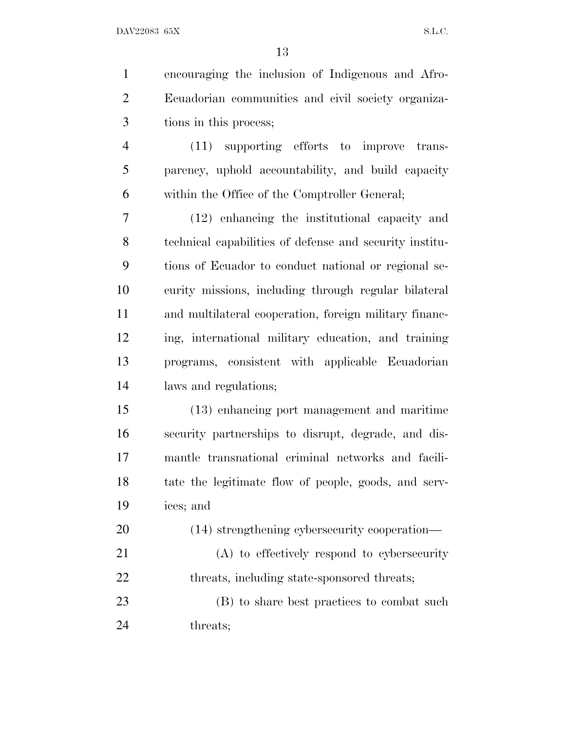| $\mathbf{1}$   | encouraging the inclusion of Indigenous and Afro-       |
|----------------|---------------------------------------------------------|
| $\overline{2}$ | Ecuadorian communities and civil society organiza-      |
| 3              | tions in this process;                                  |
| $\overline{4}$ | (11) supporting efforts to improve trans-               |
| 5              | parency, uphold accountability, and build capacity      |
| 6              | within the Office of the Comptroller General;           |
| 7              | (12) enhancing the institutional capacity and           |
| 8              | technical capabilities of defense and security institu- |
| 9              | tions of Ecuador to conduct national or regional se-    |
| 10             | curity missions, including through regular bilateral    |
| 11             | and multilateral cooperation, foreign military financ-  |
| 12             | ing, international military education, and training     |
| 13             | programs, consistent with applicable Ecuadorian         |
| 14             | laws and regulations;                                   |
| 15             | (13) enhancing port management and maritime             |
| 16             | security partnerships to disrupt, degrade, and dis-     |
| 17             | mantle transnational criminal networks and facili-      |
| 18             | tate the legitimate flow of people, goods, and serv-    |
| 19             | ices; and                                               |
| 20             | (14) strengthening cybersecurity cooperation—           |
| 21             | $(A)$ to effectively respond to cybersecurity           |
| 22             | threats, including state-sponsored threats;             |
| 23             | (B) to share best practices to combat such              |

threats;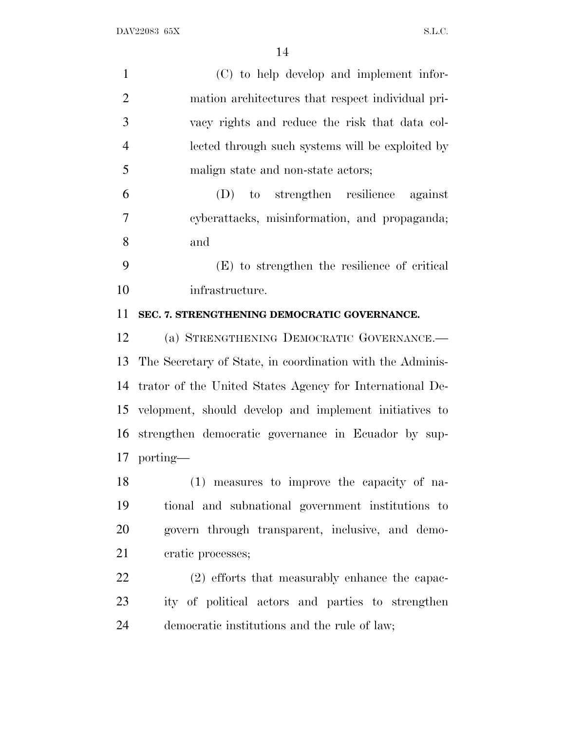| $\mathbf{1}$   | (C) to help develop and implement infor-                  |
|----------------|-----------------------------------------------------------|
| $\overline{2}$ | mation architectures that respect individual pri-         |
| 3              | vacy rights and reduce the risk that data col-            |
| $\overline{4}$ | lected through such systems will be exploited by          |
| 5              | malign state and non-state actors;                        |
| 6              | to strengthen resilience against<br>(D)                   |
| $\tau$         | cyberattacks, misinformation, and propaganda;             |
| 8              | and                                                       |
| 9              | (E) to strengthen the resilience of critical              |
| 10             | infrastructure.                                           |
| 11             | SEC. 7. STRENGTHENING DEMOCRATIC GOVERNANCE.              |
| 12             | (a) STRENGTHENING DEMOCRATIC GOVERNANCE.-                 |
| 13             | The Secretary of State, in coordination with the Adminis- |
| 14             | trator of the United States Agency for International De-  |
| 15             | velopment, should develop and implement initiatives to    |
|                | 16 strengthen democratic governance in Ecuador by sup-    |
|                | 17 porting—                                               |
| 18             | (1) measures to improve the capacity of na-               |
| 19             | tional and subnational government institutions to         |
| 20             | govern through transparent, inclusive, and demo-          |
| 21             | cratic processes;                                         |
| 22             | (2) efforts that measurably enhance the capac-            |
| 23             | ity of political actors and parties to strengthen         |
| 24             | democratic institutions and the rule of law;              |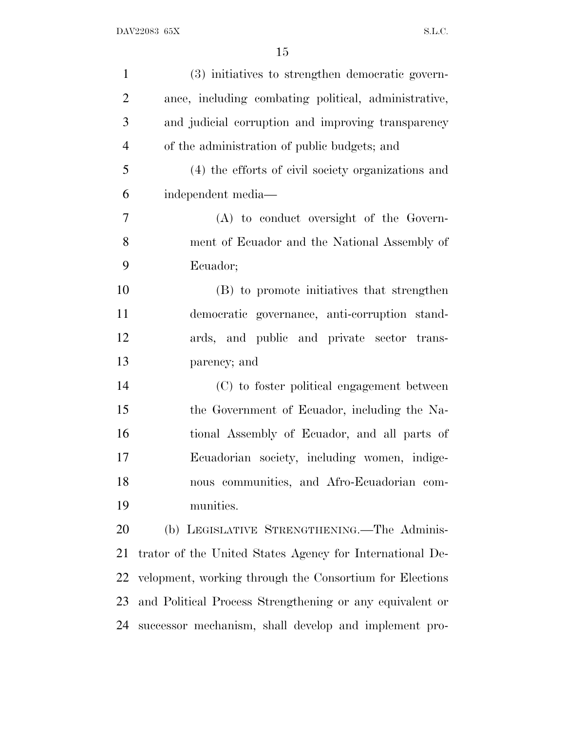| $\mathbf{1}$   | (3) initiatives to strengthen democratic govern-         |
|----------------|----------------------------------------------------------|
| $\overline{2}$ | ance, including combating political, administrative,     |
| 3              | and judicial corruption and improving transparency       |
| $\overline{4}$ | of the administration of public budgets; and             |
| 5              | (4) the efforts of civil society organizations and       |
| 6              | independent media-                                       |
| $\tau$         | (A) to conduct oversight of the Govern-                  |
| 8              | ment of Ecuador and the National Assembly of             |
| 9              | Ecuador;                                                 |
| 10             | (B) to promote initiatives that strengthen               |
| 11             | democratic governance, anti-corruption stand-            |
| 12             | ards, and public and private sector trans-               |
| 13             | parency; and                                             |
| 14             | (C) to foster political engagement between               |
| 15             | the Government of Ecuador, including the Na-             |
| 16             | tional Assembly of Ecuador, and all parts of             |
| 17             | Ecuadorian society, including women, indige-             |
| 18             | nous communities, and Afro-Ecuadorian com-               |
| 19             | munities.                                                |
| 20             | (b) LEGISLATIVE STRENGTHENING.—The Adminis-              |
| 21             | trator of the United States Agency for International De- |
| 22             | velopment, working through the Consortium for Elections  |
| 23             | and Political Process Strengthening or any equivalent or |
| 24             | successor mechanism, shall develop and implement pro-    |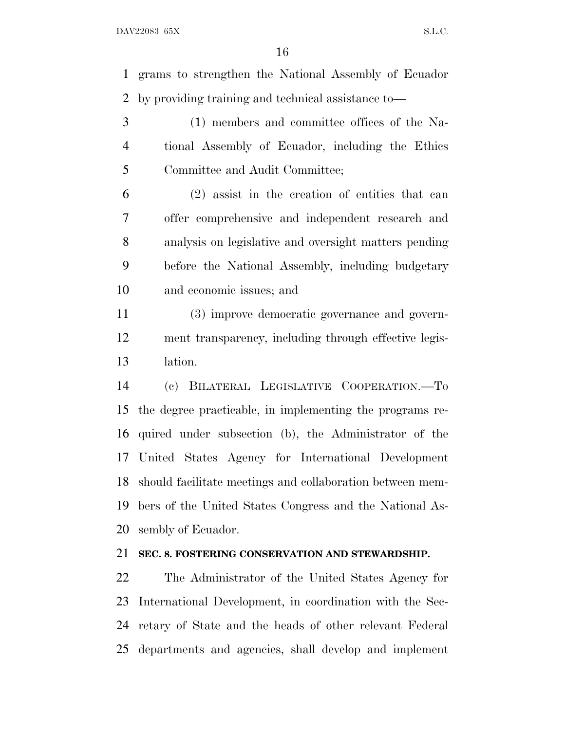grams to strengthen the National Assembly of Ecuador by providing training and technical assistance to—

 (1) members and committee offices of the Na- tional Assembly of Ecuador, including the Ethics Committee and Audit Committee;

 (2) assist in the creation of entities that can offer comprehensive and independent research and analysis on legislative and oversight matters pending before the National Assembly, including budgetary and economic issues; and

 (3) improve democratic governance and govern- ment transparency, including through effective legis-lation.

 (c) BILATERAL LEGISLATIVE COOPERATION.—To the degree practicable, in implementing the programs re- quired under subsection (b), the Administrator of the United States Agency for International Development should facilitate meetings and collaboration between mem- bers of the United States Congress and the National As-sembly of Ecuador.

## **SEC. 8. FOSTERING CONSERVATION AND STEWARDSHIP.**

 The Administrator of the United States Agency for International Development, in coordination with the Sec- retary of State and the heads of other relevant Federal departments and agencies, shall develop and implement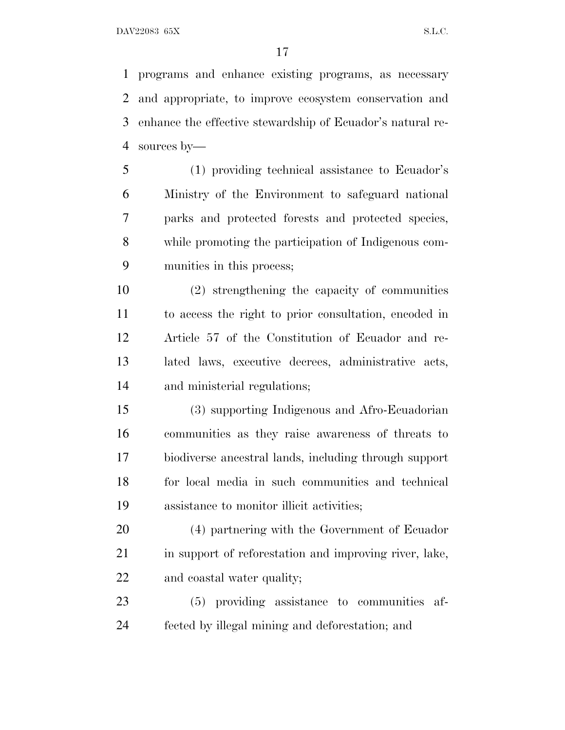programs and enhance existing programs, as necessary and appropriate, to improve ecosystem conservation and enhance the effective stewardship of Ecuador's natural re-sources by—

 (1) providing technical assistance to Ecuador's Ministry of the Environment to safeguard national parks and protected forests and protected species, while promoting the participation of Indigenous com-munities in this process;

 (2) strengthening the capacity of communities to access the right to prior consultation, encoded in Article 57 of the Constitution of Ecuador and re- lated laws, executive decrees, administrative acts, and ministerial regulations;

 (3) supporting Indigenous and Afro-Ecuadorian communities as they raise awareness of threats to biodiverse ancestral lands, including through support for local media in such communities and technical assistance to monitor illicit activities;

 (4) partnering with the Government of Ecuador 21 in support of reforestation and improving river, lake, and coastal water quality;

 (5) providing assistance to communities af-fected by illegal mining and deforestation; and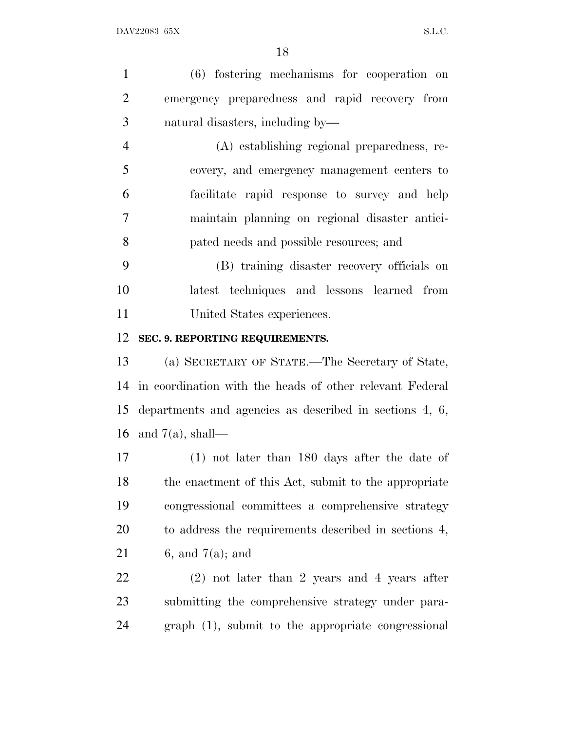| $\mathbf{1}$   | (6) fostering mechanisms for cooperation on                |
|----------------|------------------------------------------------------------|
| $\overline{2}$ | emergency preparedness and rapid recovery from             |
| 3              | natural disasters, including by—                           |
| $\overline{4}$ | (A) establishing regional preparedness, re-                |
| 5              | covery, and emergency management centers to                |
| 6              | facilitate rapid response to survey and help               |
| $\overline{7}$ | maintain planning on regional disaster antici-             |
| 8              | pated needs and possible resources; and                    |
| 9              | (B) training disaster recovery officials on                |
| 10             | latest techniques and lessons learned from                 |
| 11             | United States experiences.                                 |
| 12             | SEC. 9. REPORTING REQUIREMENTS.                            |
| 13             | (a) SECRETARY OF STATE.—The Secretary of State,            |
| 14             | in coordination with the heads of other relevant Federal   |
|                | 15 departments and agencies as described in sections 4, 6, |
|                | 16 and $7(a)$ , shall—                                     |
| 17             | $(1)$ not later than 180 days after the date of            |
| 18             | the enactment of this Act, submit to the appropriate       |
| 19             | congressional committees a comprehensive strategy          |
| 20             | to address the requirements described in sections 4,       |
| 21             | $6,$ and $7(a)$ ; and                                      |
| 22             | $(2)$ not later than 2 years and 4 years after             |
| 23             | submitting the comprehensive strategy under para-          |
| 24             | graph (1), submit to the appropriate congressional         |
|                |                                                            |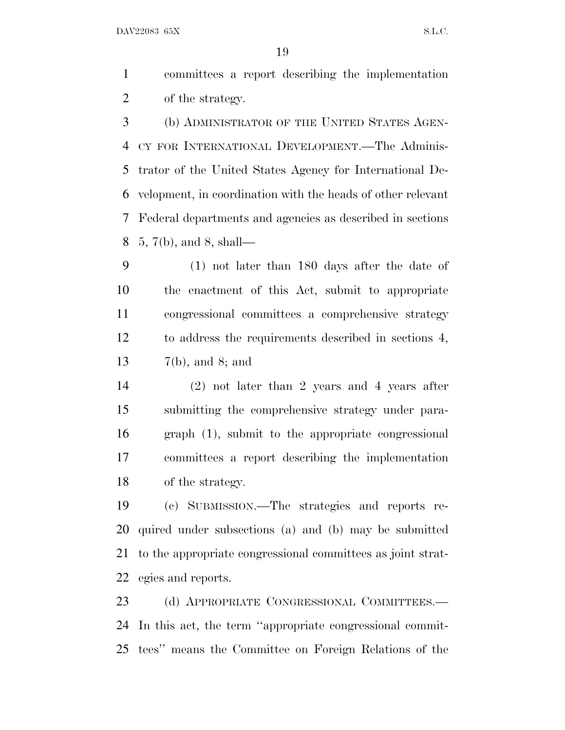committees a report describing the implementation of the strategy.

 (b) ADMINISTRATOR OF THE UNITED STATES AGEN- CY FOR INTERNATIONAL DEVELOPMENT.—The Adminis- trator of the United States Agency for International De- velopment, in coordination with the heads of other relevant Federal departments and agencies as described in sections 5, 7(b), and 8, shall—

 (1) not later than 180 days after the date of the enactment of this Act, submit to appropriate congressional committees a comprehensive strategy to address the requirements described in sections 4, 7(b), and 8; and

 (2) not later than 2 years and 4 years after submitting the comprehensive strategy under para- graph (1), submit to the appropriate congressional committees a report describing the implementation of the strategy.

 (c) SUBMISSION.—The strategies and reports re- quired under subsections (a) and (b) may be submitted to the appropriate congressional committees as joint strat-egies and reports.

23 (d) APPROPRIATE CONGRESSIONAL COMMITTEES.— In this act, the term ''appropriate congressional commit-tees'' means the Committee on Foreign Relations of the